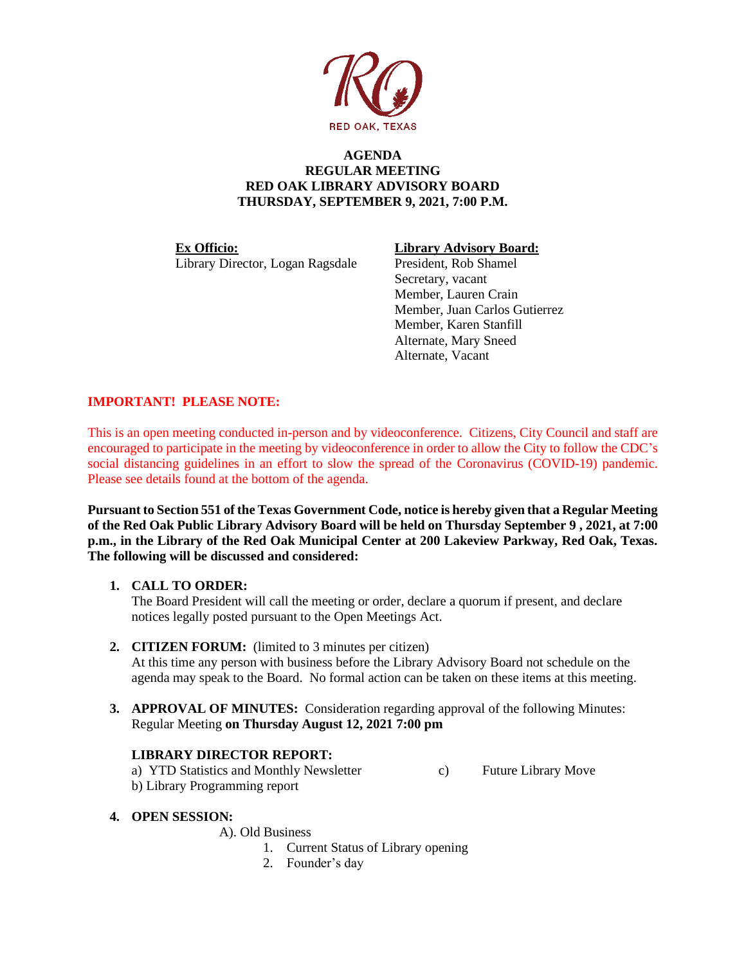

### **AGENDA REGULAR MEETING RED OAK LIBRARY ADVISORY BOARD THURSDAY, SEPTEMBER 9, 2021, 7:00 P.M.**

**Ex Officio: Library Advisory Board:** Library Director, Logan Ragsdale President, Rob Shamel

Secretary, vacant Member, Lauren Crain Member, Juan Carlos Gutierrez Member, Karen Stanfill Alternate, Mary Sneed Alternate, Vacant

# **IMPORTANT! PLEASE NOTE:**

This is an open meeting conducted in-person and by videoconference. Citizens, City Council and staff are encouraged to participate in the meeting by videoconference in order to allow the City to follow the CDC's social distancing guidelines in an effort to slow the spread of the Coronavirus (COVID-19) pandemic. Please see details found at the bottom of the agenda.

**Pursuant to Section 551 of the Texas Government Code, notice is hereby given that a Regular Meeting of the Red Oak Public Library Advisory Board will be held on Thursday September 9 , 2021, at 7:00 p.m., in the Library of the Red Oak Municipal Center at 200 Lakeview Parkway, Red Oak, Texas. The following will be discussed and considered:**

# **1. CALL TO ORDER:**

The Board President will call the meeting or order, declare a quorum if present, and declare notices legally posted pursuant to the Open Meetings Act.

# **2. CITIZEN FORUM:** (limited to 3 minutes per citizen)

At this time any person with business before the Library Advisory Board not schedule on the agenda may speak to the Board. No formal action can be taken on these items at this meeting.

**3. APPROVAL OF MINUTES:** Consideration regarding approval of the following Minutes: Regular Meeting **on Thursday August 12, 2021 7:00 pm**

# **LIBRARY DIRECTOR REPORT:**

a) YTD Statistics and Monthly Newsletter c) Future Library Move b) Library Programming report

# **4. OPEN SESSION:**

A). Old Business

- 1. Current Status of Library opening
- 2. Founder's day